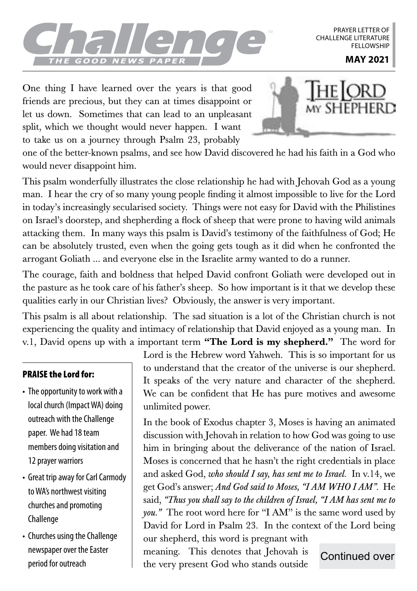

PRAYER LETTER OF CHALLENGE LITERATURE **FFLLOWSHIP** 

One thing I have learned over the years is that good friends are precious, but they can at times disappoint or let us down. Sometimes that can lead to an unpleasant split, which we thought would never happen. I want to take us on a journey through Psalm 23, probably



one of the better-known psalms, and see how David discovered he had his faith in a God who would never disappoint him.

This psalm wonderfully illustrates the close relationship he had with Jehovah God as a young man. I hear the cry of so many young people finding it almost impossible to live for the Lord in today's increasingly secularised society. Things were not easy for David with the Philistines on Israel's doorstep, and shepherding a flock of sheep that were prone to having wild animals attacking them. In many ways this psalm is David's testimony of the faithfulness of God; He can be absolutely trusted, even when the going gets tough as it did when he confronted the arrogant Goliath ... and everyone else in the Israelite army wanted to do a runner.

The courage, faith and boldness that helped David confront Goliath were developed out in the pasture as he took care of his father's sheep. So how important is it that we develop these qualities early in our Christian lives? Obviously, the answer is very important.

This psalm is all about relationship. The sad situation is a lot of the Christian church is not experiencing the quality and intimacy of relationship that David enjoyed as a young man. In v.1, David opens up with a important term "The Lord is my shepherd." The word for

## PRAISE the Lord for:

- The opportunity to work with a local church (Impact WA) doing outreach with the Challenge paper. We had 18 team members doing visitation and 12 prayer warriors
- Great trip away for Carl Carmody to WA's northwest visiting churches and promoting Challenge
- Churches using the Challenge newspaper over the Easter period for outreach

Lord is the Hebrew word Yahweh. This is so important for us to understand that the creator of the universe is our shepherd. It speaks of the very nature and character of the shepherd. We can be confident that He has pure motives and awesome unlimited power.

In the book of Exodus chapter 3, Moses is having an animated discussion with Jehovah in relation to how God was going to use him in bringing about the deliverance of the nation of Israel. Moses is concerned that he hasn't the right credentials in place and asked God, *who should I say, has sent me to Israel.* In v.14, we get God's answer; *And God said to Moses, "I AM WHO I AM".* He said, *"Thus you shall say to the children of Israel, "I AM has sent me to you."* The root word here for "I AM" is the same word used by David for Lord in Psalm 23. In the context of the Lord being

our shepherd, this word is pregnant with meaning. This denotes that Jehovah is the very present God who stands outside

Continued over